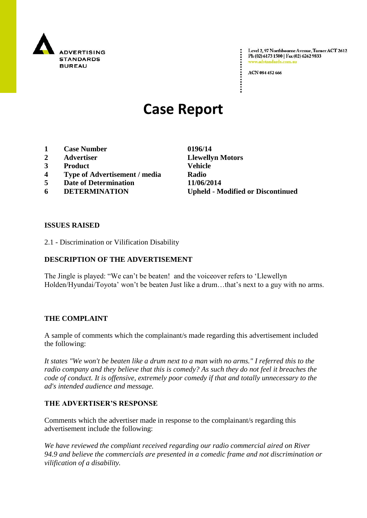

Level 2, 97 Northbourne Avenue, Turner ACT 2612 Ph (02) 6173 1500 | Fax (02) 6262 9833 adstandards.c

ACN 084 452 666

# **Case Report**

- **1 Case Number 0196/14**
- **2 Advertiser Llewellyn Motors**
- **3 Product Vehicle**
- **4 Type of Advertisement / media Radio**
- **5 Date of Determination 11/06/2014**
- 

**6 DETERMINATION Upheld - Modified or Discontinued**

### **ISSUES RAISED**

2.1 - Discrimination or Vilification Disability

## **DESCRIPTION OF THE ADVERTISEMENT**

The Jingle is played: "We can't be beaten! and the voiceover refers to 'Llewellyn Holden/Hyundai/Toyota' won't be beaten Just like a drum…that's next to a guy with no arms.

#### **THE COMPLAINT**

A sample of comments which the complainant/s made regarding this advertisement included the following:

*It states "We won't be beaten like a drum next to a man with no arms." I referred this to the radio company and they believe that this is comedy? As such they do not feel it breaches the code of conduct. It is offensive, extremely poor comedy if that and totally unnecessary to the ad's intended audience and message.*

## **THE ADVERTISER'S RESPONSE**

Comments which the advertiser made in response to the complainant/s regarding this advertisement include the following:

*We have reviewed the compliant received regarding our radio commercial aired on River 94.9 and believe the commercials are presented in a comedic frame and not discrimination or vilification of a disability.*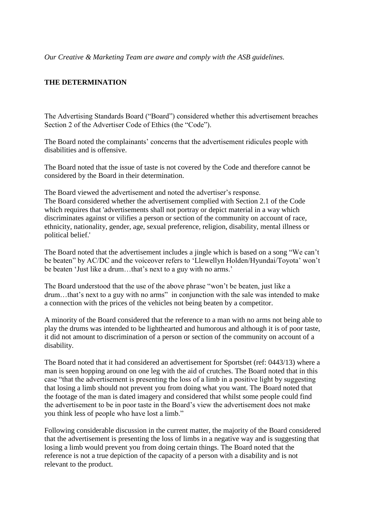*Our Creative & Marketing Team are aware and comply with the ASB guidelines.*

## **THE DETERMINATION**

The Advertising Standards Board ("Board") considered whether this advertisement breaches Section 2 of the Advertiser Code of Ethics (the "Code").

The Board noted the complainants' concerns that the advertisement ridicules people with disabilities and is offensive.

The Board noted that the issue of taste is not covered by the Code and therefore cannot be considered by the Board in their determination.

The Board viewed the advertisement and noted the advertiser's response. The Board considered whether the advertisement complied with Section 2.1 of the Code which requires that 'advertisements shall not portray or depict material in a way which discriminates against or vilifies a person or section of the community on account of race, ethnicity, nationality, gender, age, sexual preference, religion, disability, mental illness or political belief.'

The Board noted that the advertisement includes a jingle which is based on a song "We can't be beaten" by AC/DC and the voiceover refers to 'Llewellyn Holden/Hyundai/Toyota' won't be beaten 'Just like a drum…that's next to a guy with no arms.'

The Board understood that the use of the above phrase "won't be beaten, just like a drum…that's next to a guy with no arms" in conjunction with the sale was intended to make a connection with the prices of the vehicles not being beaten by a competitor.

A minority of the Board considered that the reference to a man with no arms not being able to play the drums was intended to be lighthearted and humorous and although it is of poor taste, it did not amount to discrimination of a person or section of the community on account of a disability.

The Board noted that it had considered an advertisement for Sportsbet (ref: 0443/13) where a man is seen hopping around on one leg with the aid of crutches. The Board noted that in this case "that the advertisement is presenting the loss of a limb in a positive light by suggesting that losing a limb should not prevent you from doing what you want. The Board noted that the footage of the man is dated imagery and considered that whilst some people could find the advertisement to be in poor taste in the Board's view the advertisement does not make you think less of people who have lost a limb."

Following considerable discussion in the current matter, the majority of the Board considered that the advertisement is presenting the loss of limbs in a negative way and is suggesting that losing a limb would prevent you from doing certain things. The Board noted that the reference is not a true depiction of the capacity of a person with a disability and is not relevant to the product.